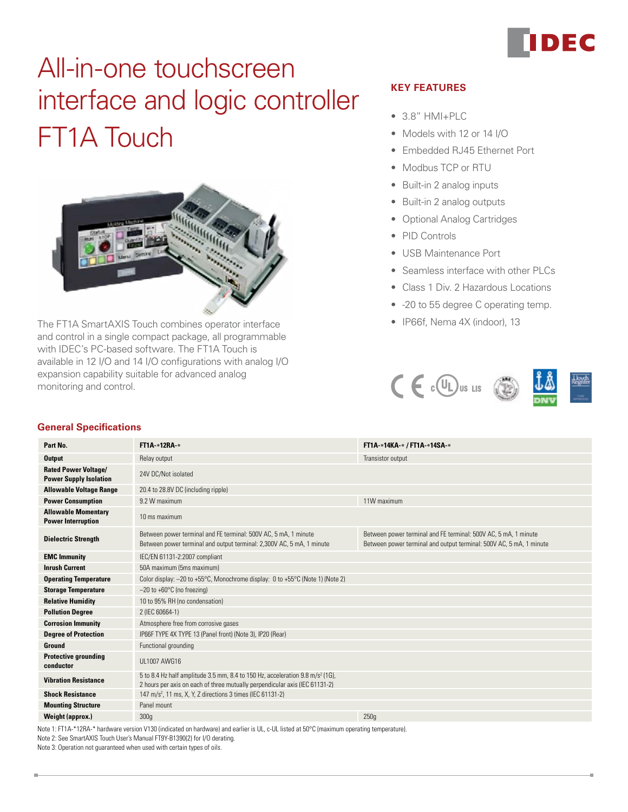# FT1A Touch All-in-one touchscreen interface and logic controller



The FT1A SmartAXIS Touch combines operator interface • The FT1A SmartAXIS Touch combines operator interface and control in a single compact package, all programmable with IDEC's PC-based software. The FT1A Touch is available in 12 I/O and 14 I/O configurations with analog I/O expansion capability suitable for advanced analog monitoring and control.

# **Key Features**

- $3.8"$  HMI+PLC
- Models with 12 or 14 I/O
- • Embedded RJ45 Ethernet Port
- Modbus TCP or RTU
- Built-in 2 analog inputs
- Built-in 2 analog outputs
- • Optional Analog Cartridges
- PID Controls
- • USB Maintenance Port
- Seamless interface with other PLCs
- Class 1 Div. 2 Hazardous Locations
- -20 to 55 degree C operating temp.
- 



#### **General Specifications**

| Part No.                                                     | <b>FT1A *12RA *</b>                                                                                                                                                                                                                                                                | FT1A-*14KA-* / FT1A-*14SA-* |  |  |  |
|--------------------------------------------------------------|------------------------------------------------------------------------------------------------------------------------------------------------------------------------------------------------------------------------------------------------------------------------------------|-----------------------------|--|--|--|
| <b>Output</b>                                                | Relay output<br>Transistor output                                                                                                                                                                                                                                                  |                             |  |  |  |
| <b>Rated Power Voltage/</b><br><b>Power Supply Isolation</b> | 24V DC/Not isolated                                                                                                                                                                                                                                                                |                             |  |  |  |
| <b>Allowable Voltage Range</b>                               | 20.4 to 28.8V DC (including ripple)                                                                                                                                                                                                                                                |                             |  |  |  |
| <b>Power Consumption</b>                                     | 9.2 W maximum                                                                                                                                                                                                                                                                      | 11W maximum                 |  |  |  |
| <b>Allowable Momentary</b><br><b>Power Interruption</b>      | 10 ms maximum                                                                                                                                                                                                                                                                      |                             |  |  |  |
| <b>Dielectric Strength</b>                                   | Between power terminal and FE terminal: 500V AC, 5 mA, 1 minute<br>Between power terminal and FE terminal: 500V AC, 5 mA, 1 minute<br>Between power terminal and output terminal: 2,300V AC, 5 mA, 1 minute<br>Between power terminal and output terminal: 500V AC, 5 mA, 1 minute |                             |  |  |  |
| <b>EMC Immunity</b>                                          | IEC/EN 61131-2:2007 compliant                                                                                                                                                                                                                                                      |                             |  |  |  |
| <b>Inrush Current</b>                                        | 50A maximum (5ms maximum)                                                                                                                                                                                                                                                          |                             |  |  |  |
| <b>Operating Temperature</b>                                 | Color display: -20 to +55°C, Monochrome display: 0 to +55°C (Note 1) (Note 2)                                                                                                                                                                                                      |                             |  |  |  |
| <b>Storage Temperature</b>                                   | $-20$ to $+60^{\circ}$ C (no freezing)                                                                                                                                                                                                                                             |                             |  |  |  |
| <b>Relative Humidity</b>                                     | 10 to 95% RH (no condensation)                                                                                                                                                                                                                                                     |                             |  |  |  |
| <b>Pollution Degree</b>                                      | 2 (IEC 60664-1)                                                                                                                                                                                                                                                                    |                             |  |  |  |
| <b>Corrosion Immunity</b>                                    | Atmosphere free from corrosive gases                                                                                                                                                                                                                                               |                             |  |  |  |
| <b>Degree of Protection</b>                                  | IP66F TYPE 4X TYPE 13 (Panel front) (Note 3), IP20 (Rear)                                                                                                                                                                                                                          |                             |  |  |  |
| <b>Ground</b>                                                | Functional grounding                                                                                                                                                                                                                                                               |                             |  |  |  |
| <b>Protective grounding</b><br>conductor                     | UL1007 AWG16                                                                                                                                                                                                                                                                       |                             |  |  |  |
| <b>Vibration Resistance</b>                                  | 5 to 8.4 Hz half amplitude 3.5 mm, 8.4 to 150 Hz, acceleration 9.8 m/s <sup>2</sup> (1G),<br>2 hours per axis on each of three mutually perpendicular axis (IEC 61131-2)                                                                                                           |                             |  |  |  |
| <b>Shock Resistance</b>                                      | 147 m/s <sup>2</sup> , 11 ms, X, Y, Z directions 3 times (IEC 61131-2)                                                                                                                                                                                                             |                             |  |  |  |
| <b>Mounting Structure</b>                                    | Panel mount                                                                                                                                                                                                                                                                        |                             |  |  |  |
| <b>Weight (approx.)</b>                                      | 300q                                                                                                                                                                                                                                                                               | 250q                        |  |  |  |

Note 1: FT1A-\*12RA-\* hardware version V130 (indicated on hardware) and earlier is UL, c-UL listed at 50°C (maximum operating temperature). Note 2: See SmartAXIS Touch User's Manual FT9Y-B1390(2) for I/O derating.

Note 3: Operation not guaranteed when used with certain types of oils.

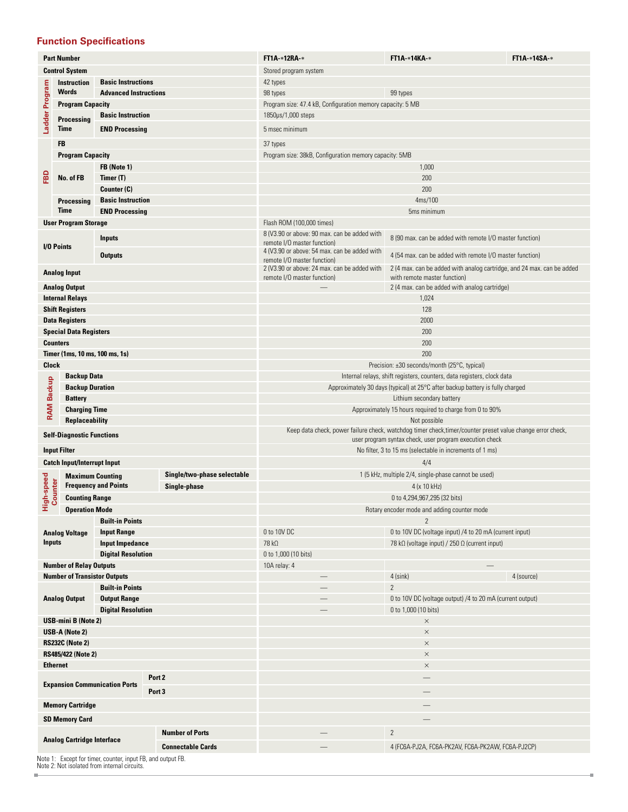#### **Function Specifications**

|                                                                     | <b>Part Number</b>                            |                                                                        |  |                             | FT1A-*12RA-*                                                                                                               | <b>FT1A-*14KA-*</b>                                                    | FT1A-*14SA-* |  |
|---------------------------------------------------------------------|-----------------------------------------------|------------------------------------------------------------------------|--|-----------------------------|----------------------------------------------------------------------------------------------------------------------------|------------------------------------------------------------------------|--------------|--|
|                                                                     | <b>Control System</b>                         |                                                                        |  |                             | Stored program system                                                                                                      |                                                                        |              |  |
|                                                                     | <b>Instruction</b>                            | <b>Basic Instructions</b>                                              |  |                             | 42 types                                                                                                                   |                                                                        |              |  |
|                                                                     | <b>Words</b>                                  | <b>Advanced Instructions</b>                                           |  |                             | 98 types<br>99 types                                                                                                       |                                                                        |              |  |
|                                                                     | <b>Program Capacity</b>                       |                                                                        |  |                             | Program size: 47.4 kB, Configuration memory capacity: 5 MB                                                                 |                                                                        |              |  |
| Ladder Program                                                      | <b>Basic Instruction</b><br>Processing        |                                                                        |  |                             | 1850µs/1,000 steps                                                                                                         |                                                                        |              |  |
|                                                                     | Time                                          | <b>END Processing</b>                                                  |  |                             | 5 msec minimum                                                                                                             |                                                                        |              |  |
|                                                                     |                                               |                                                                        |  |                             |                                                                                                                            |                                                                        |              |  |
|                                                                     | <b>FB</b>                                     |                                                                        |  |                             | 37 types                                                                                                                   |                                                                        |              |  |
|                                                                     | <b>Program Capacity</b>                       |                                                                        |  |                             | Program size: 38kB, Configuration memory capacity: 5MB                                                                     |                                                                        |              |  |
|                                                                     |                                               | FB (Note 1)                                                            |  |                             |                                                                                                                            | 1,000                                                                  |              |  |
| 읊                                                                   | No. of FB                                     | Timer (T)                                                              |  |                             |                                                                                                                            | 200                                                                    |              |  |
|                                                                     |                                               | Counter (C)                                                            |  |                             |                                                                                                                            | 200                                                                    |              |  |
|                                                                     | <b>Basic Instruction</b><br><b>Processing</b> |                                                                        |  |                             | 4ms/100                                                                                                                    |                                                                        |              |  |
|                                                                     | <b>Time</b>                                   | <b>END Processing</b>                                                  |  |                             |                                                                                                                            | 5ms minimum                                                            |              |  |
|                                                                     | <b>User Program Storage</b>                   |                                                                        |  |                             | Flash ROM (100,000 times)                                                                                                  |                                                                        |              |  |
|                                                                     |                                               | <b>Inputs</b>                                                          |  |                             | 8 (V3.90 or above: 90 max. can be added with                                                                               | 8 (90 max. can be added with remote I/O master function)               |              |  |
|                                                                     | I/O Points                                    |                                                                        |  |                             | remote I/O master function)<br>4 (V3.90 or above: 54 max. can be added with                                                |                                                                        |              |  |
|                                                                     |                                               | <b>Outputs</b>                                                         |  |                             | remote I/O master function)                                                                                                | 4 (54 max. can be added with remote I/O master function)               |              |  |
|                                                                     | <b>Analog Input</b>                           |                                                                        |  |                             | 2 (V3.90 or above: 24 max. can be added with                                                                               | 2 (4 max. can be added with analog cartridge, and 24 max. can be added |              |  |
|                                                                     |                                               |                                                                        |  |                             | remote I/O master function)                                                                                                | with remote master function)                                           |              |  |
|                                                                     | <b>Analog Output</b>                          |                                                                        |  |                             |                                                                                                                            | 2 (4 max. can be added with analog cartridge)                          |              |  |
|                                                                     | <b>Internal Relays</b>                        |                                                                        |  |                             |                                                                                                                            | 1,024                                                                  |              |  |
|                                                                     | <b>Shift Registers</b>                        |                                                                        |  |                             |                                                                                                                            | 128                                                                    |              |  |
|                                                                     | <b>Data Registers</b>                         |                                                                        |  |                             |                                                                                                                            | 2000                                                                   |              |  |
|                                                                     | <b>Special Data Registers</b>                 |                                                                        |  |                             |                                                                                                                            | 200                                                                    |              |  |
|                                                                     | <b>Counters</b>                               |                                                                        |  |                             |                                                                                                                            | 200                                                                    |              |  |
|                                                                     | Timer (1ms, 10 ms, 100 ms, 1s)                |                                                                        |  |                             |                                                                                                                            | 200                                                                    |              |  |
| <b>Clock</b>                                                        |                                               |                                                                        |  |                             | Precision: ±30 seconds/month (25°C, typical)                                                                               |                                                                        |              |  |
| <b>Backup Data</b>                                                  |                                               | Internal relays, shift registers, counters, data registers, clock data |  |                             |                                                                                                                            |                                                                        |              |  |
| <b>RAM Backup</b>                                                   | <b>Backup Duration</b>                        |                                                                        |  |                             | Approximately 30 days (typical) at 25°C after backup battery is fully charged                                              |                                                                        |              |  |
|                                                                     | <b>Battery</b>                                |                                                                        |  |                             | Lithium secondary battery                                                                                                  |                                                                        |              |  |
|                                                                     | <b>Charging Time</b>                          |                                                                        |  |                             |                                                                                                                            | Approximately 15 hours required to charge from 0 to 90%                |              |  |
|                                                                     | <b>Replaceability</b>                         |                                                                        |  |                             | Not possible<br>Keep data check, power failure check, watchdog timer check, timer/counter preset value change error check, |                                                                        |              |  |
|                                                                     | <b>Self-Diagnostic Functions</b>              |                                                                        |  |                             |                                                                                                                            | user program syntax check, user program execution check                |              |  |
|                                                                     | <b>Input Filter</b>                           |                                                                        |  |                             |                                                                                                                            | No filter, 3 to 15 ms (selectable in increments of 1 ms)               |              |  |
|                                                                     | <b>Catch Input/Interrupt Input</b>            |                                                                        |  |                             | 4/4                                                                                                                        |                                                                        |              |  |
|                                                                     |                                               |                                                                        |  |                             |                                                                                                                            |                                                                        |              |  |
| High-speed                                                          | <b>Maximum Counting</b>                       | <b>Frequency and Points</b>                                            |  | Single/two-phase selectable | 1 (5 kHz, multiple 2/4, single-phase cannot be used)                                                                       |                                                                        |              |  |
|                                                                     | Counter                                       |                                                                        |  | Single-phase                | 4 (x 10 kHz)                                                                                                               |                                                                        |              |  |
|                                                                     | <b>Counting Range</b>                         |                                                                        |  |                             | 0 to 4,294,967,295 (32 bits)                                                                                               |                                                                        |              |  |
|                                                                     | <b>Operation Mode</b>                         |                                                                        |  |                             | Rotary encoder mode and adding counter mode                                                                                |                                                                        |              |  |
|                                                                     |                                               | <b>Built-in Points</b>                                                 |  |                             |                                                                                                                            | $\overline{2}$                                                         |              |  |
|                                                                     | <b>Analog Voltage</b>                         | <b>Input Range</b>                                                     |  |                             | 0 to 10V DC                                                                                                                | 0 to 10V DC (voltage input) /4 to 20 mA (current input)                |              |  |
| <b>Inputs</b>                                                       |                                               | <b>Input Impedance</b>                                                 |  |                             | 78 kΩ                                                                                                                      | 78 k $\Omega$ (voltage input) / 250 $\Omega$ (current input)           |              |  |
|                                                                     |                                               | <b>Digital Resolution</b>                                              |  |                             | 0 to 1,000 (10 bits)                                                                                                       |                                                                        |              |  |
|                                                                     | <b>Number of Relay Outputs</b>                |                                                                        |  |                             | 10A relay: 4                                                                                                               |                                                                        |              |  |
|                                                                     | <b>Number of Transistor Outputs</b>           | <b>Built-in Points</b>                                                 |  |                             | $\overline{\phantom{m}}$                                                                                                   | $4$ (sink)                                                             | 4 (source)   |  |
|                                                                     |                                               |                                                                        |  |                             |                                                                                                                            | $\overline{c}$                                                         |              |  |
|                                                                     | <b>Analog Output</b>                          | <b>Output Range</b>                                                    |  |                             | 0 to 10V DC (voltage output) /4 to 20 mA (current output)                                                                  |                                                                        |              |  |
| <b>Digital Resolution</b>                                           |                                               |                                                                        |  |                             | 0 to 1,000 (10 bits)                                                                                                       |                                                                        |              |  |
| <b>USB-mini B (Note 2)</b><br>USB-A (Note 2)                        |                                               |                                                                        |  | $\times$                    |                                                                                                                            |                                                                        |              |  |
|                                                                     |                                               |                                                                        |  |                             | $\times$                                                                                                                   |                                                                        |              |  |
|                                                                     | <b>RS232C (Note 2)</b>                        |                                                                        |  |                             | $\times$                                                                                                                   |                                                                        |              |  |
| <b>RS485/422 (Note 2)</b><br><b>Ethernet</b>                        |                                               |                                                                        |  |                             | $\times$<br>$\times$                                                                                                       |                                                                        |              |  |
| Port <sub>2</sub><br><b>Expansion Communication Ports</b><br>Port 3 |                                               |                                                                        |  |                             |                                                                                                                            |                                                                        |              |  |
|                                                                     |                                               |                                                                        |  |                             |                                                                                                                            |                                                                        |              |  |
|                                                                     |                                               |                                                                        |  |                             |                                                                                                                            |                                                                        |              |  |
| <b>Memory Cartridge</b>                                             |                                               |                                                                        |  |                             |                                                                                                                            |                                                                        |              |  |
|                                                                     | <b>SD Memory Card</b>                         |                                                                        |  |                             |                                                                                                                            |                                                                        |              |  |
|                                                                     |                                               |                                                                        |  | <b>Number of Ports</b>      |                                                                                                                            | $\mathbf{2}$                                                           |              |  |
|                                                                     | <b>Analog Cartridge Interface</b>             |                                                                        |  |                             |                                                                                                                            |                                                                        |              |  |
|                                                                     |                                               |                                                                        |  | <b>Connectable Cards</b>    |                                                                                                                            | 4 (FC6A-PJ2A, FC6A-PK2AV, FC6A-PK2AW, FC6A-PJ2CP)                      |              |  |
|                                                                     |                                               | Note 1: Except for timer, counter, input FB, and output FB.            |  |                             |                                                                                                                            |                                                                        |              |  |

٠

Note 1: Except for timer, counter, input FB, and output FB. Note 2: Not isolated from internal circuits.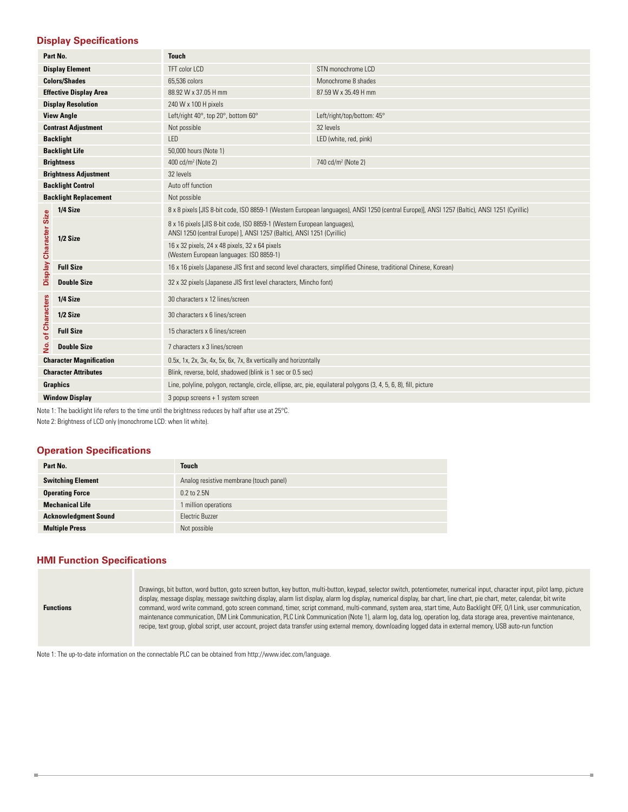#### **Display Specifications**

|                                               | Part No.                      | <b>Touch</b>                                                                                                                                      |                                |  |  |  |
|-----------------------------------------------|-------------------------------|---------------------------------------------------------------------------------------------------------------------------------------------------|--------------------------------|--|--|--|
|                                               | <b>Display Element</b>        | TFT color LCD                                                                                                                                     | STN monochrome LCD             |  |  |  |
|                                               | <b>Colors/Shades</b>          | 65.536 colors                                                                                                                                     | Monochrome 8 shades            |  |  |  |
|                                               | <b>Effective Display Area</b> | 88.92 W x 37.05 H mm                                                                                                                              | 87.59 W x 35.49 H mm           |  |  |  |
|                                               | <b>Display Resolution</b>     | 240 W x 100 H pixels                                                                                                                              |                                |  |  |  |
|                                               | <b>View Angle</b>             | Left/right 40°, top 20°, bottom 60°                                                                                                               | Left/right/top/bottom: 45°     |  |  |  |
|                                               | <b>Contrast Adjustment</b>    | Not possible                                                                                                                                      | 32 levels                      |  |  |  |
|                                               | <b>Backlight</b>              | <b>IFD</b>                                                                                                                                        | LED (white, red, pink)         |  |  |  |
|                                               | <b>Backlight Life</b>         | 50,000 hours (Note 1)                                                                                                                             |                                |  |  |  |
|                                               | <b>Brightness</b>             | 400 cd/m <sup>2</sup> (Note 2)                                                                                                                    | 740 cd/m <sup>2</sup> (Note 2) |  |  |  |
|                                               | <b>Brightness Adjustment</b>  | 32 levels                                                                                                                                         |                                |  |  |  |
| <b>Backlight Control</b><br>Auto off function |                               |                                                                                                                                                   |                                |  |  |  |
| <b>Backlight Replacement</b>                  |                               | Not possible                                                                                                                                      |                                |  |  |  |
|                                               | 1/4 Size                      | 8 x 8 pixels [JIS 8-bit code, ISO 8859-1 (Western European languages), ANSI 1250 (central Europe)], ANSI 1257 (Baltic), ANSI 1251 (Cyrillic)      |                                |  |  |  |
| Display Character Size                        | 1/2 Size                      | 8 x 16 pixels [JIS 8-bit code, ISO 8859-1 (Western European languages),<br>ANSI 1250 (central Europe) J, ANSI 1257 (Baltic), ANSI 1251 (Cyrillic) |                                |  |  |  |
|                                               |                               | 16 x 32 pixels, 24 x 48 pixels, 32 x 64 pixels<br>(Western European languages: ISO 8859-1)                                                        |                                |  |  |  |
|                                               | <b>Full Size</b>              | 16 x 16 pixels (Japanese JIS first and second level characters, simplified Chinese, traditional Chinese, Korean)                                  |                                |  |  |  |
|                                               | <b>Double Size</b>            | 32 x 32 pixels (Japanese JIS first level characters, Mincho font)                                                                                 |                                |  |  |  |
|                                               | 1/4 Size                      | 30 characters x 12 lines/screen                                                                                                                   |                                |  |  |  |
|                                               | 1/2 Size                      | 30 characters x 6 lines/screen                                                                                                                    |                                |  |  |  |
| of Characters                                 | <b>Full Size</b>              | 15 characters x 6 lines/screen                                                                                                                    |                                |  |  |  |
| <u>ؤ</u>                                      | <b>Double Size</b>            | 7 characters x 3 lines/screen                                                                                                                     |                                |  |  |  |
| <b>Character Magnification</b>                |                               | 0.5x, 1x, 2x, 3x, 4x, 5x, 6x, 7x, 8x vertically and horizontally                                                                                  |                                |  |  |  |
|                                               | <b>Character Attributes</b>   | Blink, reverse, bold, shadowed (blink is 1 sec or 0.5 sec)                                                                                        |                                |  |  |  |
|                                               | <b>Graphics</b>               | Line, polyline, polygon, rectangle, circle, ellipse, arc, pie, equilateral polygons (3, 4, 5, 6, 8), fill, picture                                |                                |  |  |  |
|                                               | <b>Window Display</b>         | 3 popup screens + 1 system screen                                                                                                                 |                                |  |  |  |

Note 1: The backlight life refers to the time until the brightness reduces by half after use at 25°C.

Note 2: Brightness of LCD only (monochrome LCD: when lit white).

#### **Operation Specifications**

| Part No.                    | <b>Touch</b>                            |
|-----------------------------|-----------------------------------------|
| <b>Switching Element</b>    | Analog resistive membrane (touch panel) |
| <b>Operating Force</b>      | 0.2 to 2.5N                             |
| <b>Mechanical Life</b>      | 1 million operations                    |
| <b>Acknowledgment Sound</b> | Flectric Buzzer                         |
| <b>Multiple Press</b>       | Not possible                            |

#### **HMI Function Specifications**

Ű.

| Drawings, bit button, word button, goto screen button, key button, multi-button, keypad, selector switch, potentiometer, numerical input, character input, pilot lamp, picture<br>display, message display, message switching display, alarm list display, alarm log display, numerical display, bar chart, line chart, pie chart, meter, calendar, bit write<br>command, word write command, goto screen command, timer, script command, multi-command, system area, start time, Auto Backlight OFF, O/I Link, user communication,<br>maintenance communication, DM Link Communication, PLC Link Communication (Note 1), alarm log, data log, operation log, data storage area, preventive maintenance,<br>recipe, text group, global script, user account, project data transfer using external memory, downloading logged data in external memory, USB auto-run function |
|-----------------------------------------------------------------------------------------------------------------------------------------------------------------------------------------------------------------------------------------------------------------------------------------------------------------------------------------------------------------------------------------------------------------------------------------------------------------------------------------------------------------------------------------------------------------------------------------------------------------------------------------------------------------------------------------------------------------------------------------------------------------------------------------------------------------------------------------------------------------------------|
|                                                                                                                                                                                                                                                                                                                                                                                                                                                                                                                                                                                                                                                                                                                                                                                                                                                                             |
|                                                                                                                                                                                                                                                                                                                                                                                                                                                                                                                                                                                                                                                                                                                                                                                                                                                                             |

٠

Note 1: The up-to-date information on the connectable PLC can be obtained from http://www.idec.com/language.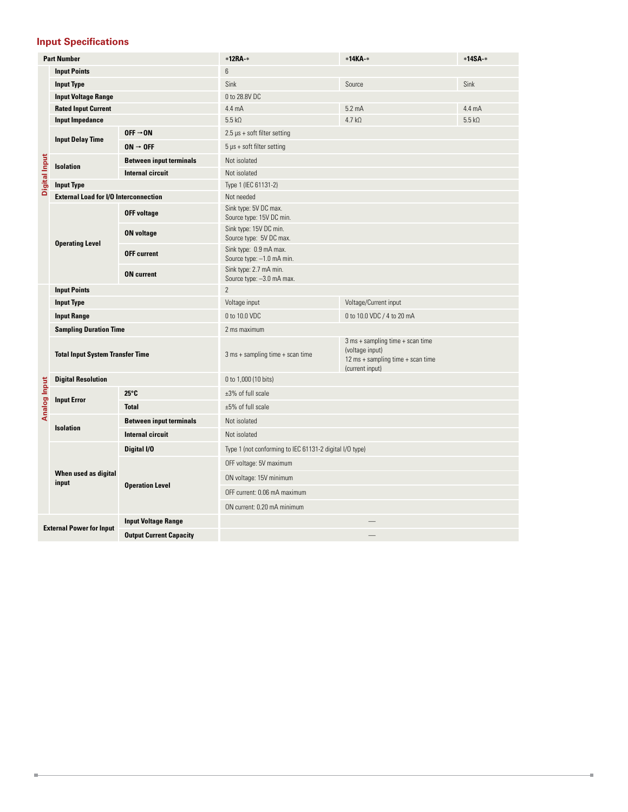#### **Input Specifications**

I.

| <b>Part Number</b>                                                |                                              |                                | *12RA *                                                 | *14КА-*                                                                                                       | *14SA-*          |  |  |
|-------------------------------------------------------------------|----------------------------------------------|--------------------------------|---------------------------------------------------------|---------------------------------------------------------------------------------------------------------------|------------------|--|--|
|                                                                   | <b>Input Points</b>                          |                                | 6                                                       |                                                                                                               |                  |  |  |
|                                                                   | <b>Input Type</b>                            |                                | Sink                                                    | Source                                                                                                        | Sink             |  |  |
|                                                                   | <b>Input Voltage Range</b>                   |                                | 0 to 28.8V DC                                           |                                                                                                               |                  |  |  |
|                                                                   | <b>Rated Input Current</b>                   |                                | $4.4 \text{ mA}$                                        | $5.2 \text{ mA}$                                                                                              | $4.4 \text{ mA}$ |  |  |
|                                                                   | <b>Input Impedance</b>                       |                                | $5.5 k\Omega$                                           | $4.7 k\Omega$                                                                                                 | $5.5 k\Omega$    |  |  |
|                                                                   | <b>Input Delay Time</b>                      | $OFF \rightarrow ON$           | $2.5 \,\mu s$ + soft filter setting                     |                                                                                                               |                  |  |  |
|                                                                   | $ON \rightarrow OFF$                         |                                | $5 \mu s$ + soft filter setting                         |                                                                                                               |                  |  |  |
| Digital Input                                                     | <b>Isolation</b>                             | <b>Between input terminals</b> | Not isolated                                            |                                                                                                               |                  |  |  |
|                                                                   |                                              | <b>Internal circuit</b>        | Not isolated                                            |                                                                                                               |                  |  |  |
|                                                                   | <b>Input Type</b>                            |                                | Type 1 (IEC 61131-2)                                    |                                                                                                               |                  |  |  |
|                                                                   | <b>External Load for I/O Interconnection</b> |                                | Not needed                                              |                                                                                                               |                  |  |  |
|                                                                   |                                              | <b>OFF voltage</b>             | Sink type: 5V DC max.<br>Source type: 15V DC min.       |                                                                                                               |                  |  |  |
|                                                                   |                                              | <b>ON voltage</b>              | Sink type: 15V DC min.<br>Source type: 5V DC max.       |                                                                                                               |                  |  |  |
|                                                                   | <b>Operating Level</b>                       | <b>OFF current</b>             | Sink type: 0.9 mA max.<br>Source type: -1.0 mA min.     |                                                                                                               |                  |  |  |
|                                                                   |                                              | <b>ON</b> current              | Sink type: 2.7 mA min.<br>Source type: -3.0 mA max.     |                                                                                                               |                  |  |  |
|                                                                   | <b>Input Points</b>                          |                                | $\overline{c}$                                          |                                                                                                               |                  |  |  |
|                                                                   | <b>Input Type</b>                            |                                | Voltage/Current input<br>Voltage input                  |                                                                                                               |                  |  |  |
|                                                                   | <b>Input Range</b>                           |                                | 0 to 10.0 VDC<br>0 to 10.0 VDC / 4 to 20 mA             |                                                                                                               |                  |  |  |
|                                                                   | <b>Sampling Duration Time</b>                |                                | 2 ms maximum                                            |                                                                                                               |                  |  |  |
|                                                                   | <b>Total Input System Transfer Time</b>      |                                | $3 ms + sampling time + scan time$                      | $3 ms + sampling time + scan time$<br>(voltage input)<br>12 ms + sampling time + scan time<br>(current input) |                  |  |  |
|                                                                   | <b>Digital Resolution</b>                    |                                | 0 to 1,000 (10 bits)                                    |                                                                                                               |                  |  |  |
|                                                                   |                                              | $25^\circ$ C                   | $±3\%$ of full scale                                    |                                                                                                               |                  |  |  |
| Analog Input                                                      | <b>Input Error</b>                           | <b>Total</b>                   | $±5\%$ of full scale                                    |                                                                                                               |                  |  |  |
|                                                                   | <b>Isolation</b>                             | <b>Between input terminals</b> | Not isolated                                            |                                                                                                               |                  |  |  |
|                                                                   |                                              | <b>Internal circuit</b>        | Not isolated                                            |                                                                                                               |                  |  |  |
|                                                                   |                                              | Digital I/O                    | Type 1 (not conforming to IEC 61131-2 digital I/O type) |                                                                                                               |                  |  |  |
|                                                                   |                                              |                                | OFF voltage: 5V maximum                                 |                                                                                                               |                  |  |  |
|                                                                   | When used as digital<br>input                |                                | ON voltage: 15V minimum                                 |                                                                                                               |                  |  |  |
|                                                                   |                                              | <b>Operation Level</b>         | OFF current: 0.06 mA maximum                            |                                                                                                               |                  |  |  |
|                                                                   |                                              |                                | ON current: 0.20 mA minimum                             |                                                                                                               |                  |  |  |
|                                                                   |                                              | <b>Input Voltage Range</b>     |                                                         |                                                                                                               |                  |  |  |
| <b>External Power for Input</b><br><b>Output Current Capacity</b> |                                              |                                |                                                         |                                                                                                               |                  |  |  |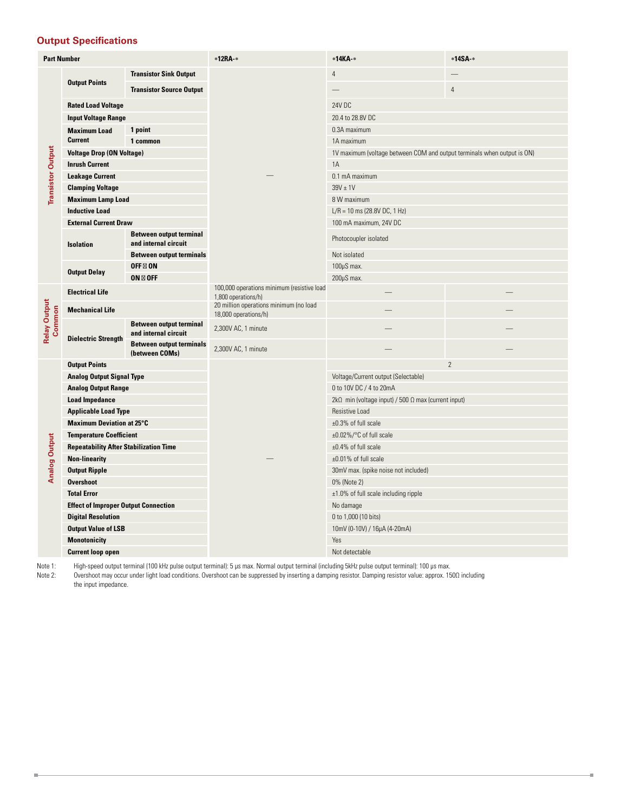#### **Output Specifications**

| <b>Part Number</b>            |                                               |                                                        | *12RA *                                                           | *14KA *                                                                 | *14SA-*        |  |
|-------------------------------|-----------------------------------------------|--------------------------------------------------------|-------------------------------------------------------------------|-------------------------------------------------------------------------|----------------|--|
|                               |                                               | <b>Transistor Sink Output</b>                          |                                                                   | $\overline{4}$                                                          |                |  |
|                               | <b>Output Points</b>                          | <b>Transistor Source Output</b>                        |                                                                   |                                                                         | $\overline{4}$ |  |
|                               | <b>Rated Load Voltage</b>                     |                                                        |                                                                   | 24V DC                                                                  |                |  |
|                               | <b>Input Voltage Range</b>                    |                                                        |                                                                   | 20.4 to 28.8V DC                                                        |                |  |
|                               | 1 point<br><b>Maximum Load</b>                |                                                        |                                                                   | 0.3A maximum                                                            |                |  |
|                               | <b>Current</b>                                | 1 common                                               |                                                                   | 1A maximum                                                              |                |  |
|                               | <b>Voltage Drop (ON Voltage)</b>              |                                                        |                                                                   | 1V maximum (voltage between COM and output terminals when output is ON) |                |  |
| <b>Transistor Output</b>      | <b>Inrush Current</b>                         |                                                        |                                                                   | 1A                                                                      |                |  |
|                               | <b>Leakage Current</b>                        |                                                        |                                                                   | 0.1 mA maximum                                                          |                |  |
|                               | <b>Clamping Voltage</b>                       |                                                        |                                                                   | $39V \pm 1V$                                                            |                |  |
|                               | <b>Maximum Lamp Load</b>                      |                                                        |                                                                   | 8 W maximum                                                             |                |  |
|                               | <b>Inductive Load</b>                         |                                                        |                                                                   | $L/R = 10$ ms (28.8V DC, 1 Hz)                                          |                |  |
|                               | <b>External Current Draw</b>                  |                                                        |                                                                   | 100 mA maximum, 24V DC                                                  |                |  |
|                               | Isolation                                     | <b>Between output terminal</b><br>and internal circuit |                                                                   | Photocoupler isolated                                                   |                |  |
|                               |                                               | <b>Between output terminals</b>                        |                                                                   | Not isolated                                                            |                |  |
|                               | <b>Output Delay</b>                           | OFF ON                                                 |                                                                   | 100µS max.                                                              |                |  |
|                               |                                               | ON OFF                                                 |                                                                   | $200\mu S$ max.                                                         |                |  |
|                               | <b>Electrical Life</b>                        |                                                        | 100,000 operations minimum (resistive load<br>1,800 operations/h) |                                                                         |                |  |
|                               | <b>Mechanical Life</b>                        |                                                        | 20 million operations minimum (no load<br>18,000 operations/h)    |                                                                         |                |  |
| <b>Relay Output</b><br>Common | <b>Dielectric Strength</b>                    | <b>Between output terminal</b><br>and internal circuit | 2,300V AC, 1 minute                                               |                                                                         |                |  |
|                               |                                               | <b>Between output terminals</b><br>(between COMs)      | 2,300V AC, 1 minute                                               |                                                                         |                |  |
|                               | <b>Output Points</b>                          |                                                        |                                                                   | $\overline{c}$                                                          |                |  |
|                               | <b>Analog Output Signal Type</b>              |                                                        |                                                                   | Voltage/Current output (Selectable)                                     |                |  |
|                               | <b>Analog Output Range</b>                    |                                                        |                                                                   | 0 to 10V DC / 4 to 20mA                                                 |                |  |
|                               | <b>Load Impedance</b>                         |                                                        |                                                                   | $2k\Omega$ min (voltage input) / 500 $\Omega$ max (current input)       |                |  |
|                               | <b>Applicable Load Type</b>                   |                                                        |                                                                   | <b>Resistive Load</b>                                                   |                |  |
|                               | <b>Maximum Deviation at 25°C</b>              |                                                        |                                                                   | $±0.3\%$ of full scale                                                  |                |  |
|                               | <b>Temperature Coefficient</b>                |                                                        |                                                                   | ±0.02%/°C of full scale                                                 |                |  |
| <b>Analog Output</b>          | <b>Repeatability After Stabilization Time</b> |                                                        |                                                                   | $±0.4\%$ of full scale                                                  |                |  |
|                               | <b>Non-linearity</b>                          |                                                        |                                                                   | $±0.01\%$ of full scale                                                 |                |  |
|                               | <b>Output Ripple</b>                          |                                                        |                                                                   | 30mV max. (spike noise not included)                                    |                |  |
|                               | <b>Overshoot</b>                              |                                                        |                                                                   | 0% (Note 2)                                                             |                |  |
|                               | <b>Total Error</b>                            |                                                        |                                                                   | ±1.0% of full scale including ripple                                    |                |  |
|                               | <b>Effect of Improper Output Connection</b>   |                                                        |                                                                   | No damage                                                               |                |  |
|                               | <b>Digital Resolution</b>                     |                                                        |                                                                   | 0 to 1,000 (10 bits)                                                    |                |  |
|                               | <b>Output Value of LSB</b>                    |                                                        |                                                                   | 10mV (0-10V) / 16μA (4-20mA)                                            |                |  |
|                               | <b>Monotonicity</b>                           |                                                        |                                                                   | Yes                                                                     |                |  |
|                               | <b>Current loop open</b>                      |                                                        |                                                                   | Not detectable                                                          |                |  |

Ű.

Note 1: High-speed output terminal (100 kHz pulse output terminal): 5 μs max. Normal output terminal (including 5kHz pulse output terminal): 100 μs max.

Note 2: Overshoot may occur under light load conditions. Overshoot can be suppressed by inserting a damping resistor. Damping resistor value: approx. 150Ω including the input impedance.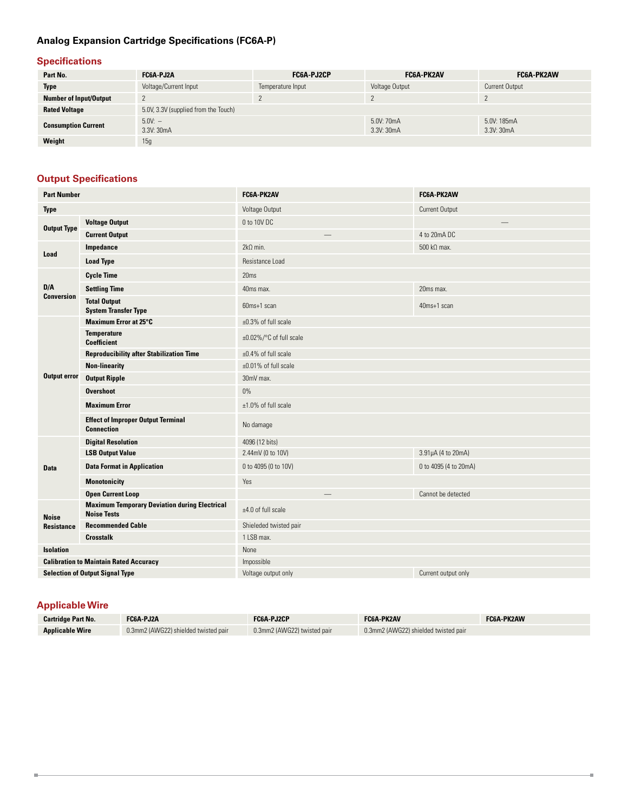# **Analog Expansion Cartridge Specifications (FC6A-P)**

#### **Specifications**

| Part No.                      | FC6A-PJ2A                            | FC6A-PJ2CP        | FC6A-PK2AV               | FC6A-PK2AW                |
|-------------------------------|--------------------------------------|-------------------|--------------------------|---------------------------|
| <b>Type</b>                   | Voltage/Current Input                | Temperature Input | Voltage Output           | <b>Current Output</b>     |
| <b>Number of Input/Output</b> |                                      |                   |                          |                           |
| <b>Rated Voltage</b>          | 5.0V, 3.3V (supplied from the Touch) |                   |                          |                           |
| <b>Consumption Current</b>    | $5.0V: -$<br>3.3V: 30mA              |                   | 5.0V: 70mA<br>3.3V: 30mA | 5.0V: 185mA<br>3.3V: 30mA |
| Weight                        | 15g                                  |                   |                          |                           |

# **Output Specifications**

| <b>Part Number</b>  |                                                                            | <b>FC6A-PK2AV</b>         | FC6A-PK2AW                 |
|---------------------|----------------------------------------------------------------------------|---------------------------|----------------------------|
| <b>Type</b>         |                                                                            | Voltage Output            | Current Output             |
| <b>Output Type</b>  | <b>Voltage Output</b>                                                      | 0 to 10V DC               |                            |
|                     | <b>Current Output</b>                                                      | $\overline{\phantom{0}}$  | 4 to 20mA DC               |
|                     | Impedance                                                                  | $2k\Omega$ min.           | $500 \text{ k}\Omega$ max. |
| Load                | <b>Load Type</b>                                                           | Resistance Load           |                            |
|                     | <b>Cycle Time</b>                                                          | 20ms                      |                            |
| D/A                 | <b>Settling Time</b>                                                       | 40ms max.                 | 20ms max.                  |
| <b>Conversion</b>   | <b>Total Output</b><br><b>System Transfer Type</b>                         | 60ms+1 scan               | 40ms+1 scan                |
|                     | <b>Maximum Error at 25°C</b>                                               | $\pm 0.3\%$ of full scale |                            |
|                     | <b>Temperature</b><br><b>Coefficient</b>                                   | ±0.02%/°C of full scale   |                            |
|                     | <b>Reproducibility after Stabilization Time</b>                            | ±0.4% of full scale       |                            |
|                     | <b>Non-linearity</b>                                                       | $±0.01\%$ of full scale   |                            |
| <b>Output error</b> | <b>Output Ripple</b>                                                       | 30mV max.                 |                            |
|                     | <b>Overshoot</b>                                                           | 0%                        |                            |
|                     | <b>Maximum Error</b>                                                       | $±1.0\%$ of full scale    |                            |
|                     | <b>Effect of Improper Output Terminal</b><br><b>Connection</b>             | No damage                 |                            |
|                     | <b>Digital Resolution</b>                                                  | 4096 (12 bits)            |                            |
|                     | <b>LSB Output Value</b>                                                    | 2.44mV (0 to 10V)         | 3.91µA (4 to 20mA)         |
| <b>Data</b>         | <b>Data Format in Application</b>                                          | 0 to 4095 (0 to 10V)      | 0 to 4095 (4 to 20mA)      |
|                     | <b>Monotonicity</b>                                                        | Yes                       |                            |
|                     | <b>Open Current Loop</b>                                                   | $\qquad \qquad -$         | Cannot be detected         |
| <b>Noise</b>        | <b>Maximum Temporary Deviation during Electrical</b><br><b>Noise Tests</b> | ±4.0 of full scale        |                            |
| <b>Resistance</b>   | <b>Recommended Cable</b>                                                   | Shieleded twisted pair    |                            |
|                     | <b>Crosstalk</b>                                                           | 1 LSB max.                |                            |
| <b>Isolation</b>    |                                                                            | None                      |                            |
|                     | <b>Calibration to Maintain Rated Accuracy</b>                              | Impossible                |                            |
|                     | <b>Selection of Output Signal Type</b>                                     | Voltage output only       | Current output only        |

# **Applicable Wire**

I.

| <b>Cartridge Part No.</b> | FC6A-PJ2A                            | FC6A-PJ2CP                  | <b>FC6A PK2AV</b>                    | <b>FC6A PK2AW</b> |
|---------------------------|--------------------------------------|-----------------------------|--------------------------------------|-------------------|
| <b>Applicable Wire</b>    | 0.3mm2 (AWG22) shielded twisted pair | 0.3mm2 (AWG22) twisted pair | 0.3mm2 (AWG22) shielded twisted pair |                   |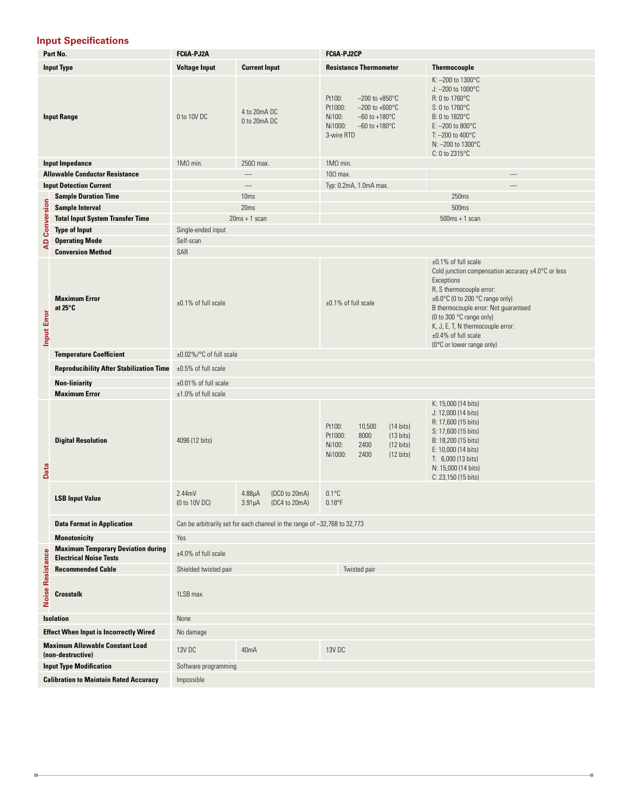#### **Input Specifications**

|                                              | Part No.                                                                   | FC6A-PJ2A               |                                                                           | FC6A-PJ2CP                                                                                                                                                                 |                                                                                                                                                                                                                                                                                                                              |  |
|----------------------------------------------|----------------------------------------------------------------------------|-------------------------|---------------------------------------------------------------------------|----------------------------------------------------------------------------------------------------------------------------------------------------------------------------|------------------------------------------------------------------------------------------------------------------------------------------------------------------------------------------------------------------------------------------------------------------------------------------------------------------------------|--|
|                                              | <b>Input Type</b>                                                          | <b>Voltage Input</b>    | <b>Current Input</b>                                                      | <b>Resistance Thermometer</b>                                                                                                                                              | <b>Thermocouple</b>                                                                                                                                                                                                                                                                                                          |  |
| <b>Input Range</b>                           |                                                                            | 0 to 10V DC             | 4 to 20mA DC<br>0 to 20mA DC                                              | Pt100:<br>$-200$ to $+850^{\circ}$ C<br>Pt1000:<br>$-200$ to $+600^{\circ}$ C<br>Ni100:<br>$-60$ to $+180^{\circ}$ C<br>$-60$ to $+180^{\circ}$ C<br>Ni1000:<br>3-wire RTD | K: -200 to 1300°C<br>J: $-200$ to $1000^{\circ}$ C<br>R: 0 to 1760°C<br>S: 0 to 1760°C<br>B: 0 to 1820°C<br>E: $-200$ to 800 $^{\circ}$ C<br>T: $-200$ to $400^{\circ}$ C<br>N: -200 to 1300°C<br>$C: 0$ to 2315 $\degree$ C                                                                                                 |  |
|                                              | <b>Input Impedance</b>                                                     | $1M\Omega$ min.         | $250\Omega$ max.                                                          | $1M\Omega$ min.                                                                                                                                                            |                                                                                                                                                                                                                                                                                                                              |  |
|                                              | <b>Allowable Conductor Resistance</b>                                      |                         | $\overline{\phantom{0}}$                                                  | $10\Omega$ max.                                                                                                                                                            | $\overline{\phantom{0}}$                                                                                                                                                                                                                                                                                                     |  |
|                                              | <b>Input Detection Current</b>                                             |                         |                                                                           | Typ: 0.2mA, 1.0mA max.                                                                                                                                                     |                                                                                                                                                                                                                                                                                                                              |  |
|                                              |                                                                            |                         | 10 <sub>ms</sub>                                                          |                                                                                                                                                                            | 250ms                                                                                                                                                                                                                                                                                                                        |  |
|                                              | <b>Sample Duration Time</b>                                                |                         |                                                                           |                                                                                                                                                                            |                                                                                                                                                                                                                                                                                                                              |  |
|                                              | <b>Sample Interval</b>                                                     |                         | 20ms                                                                      |                                                                                                                                                                            | 500ms                                                                                                                                                                                                                                                                                                                        |  |
| <b>AD Conversion</b>                         | <b>Total Input System Transfer Time</b>                                    |                         | $20ms + 1 scan$                                                           |                                                                                                                                                                            | $500ms + 1 scan$                                                                                                                                                                                                                                                                                                             |  |
|                                              | <b>Type of Input</b>                                                       | Single-ended input      |                                                                           |                                                                                                                                                                            |                                                                                                                                                                                                                                                                                                                              |  |
|                                              | <b>Operating Mode</b>                                                      | Self-scan               |                                                                           |                                                                                                                                                                            |                                                                                                                                                                                                                                                                                                                              |  |
|                                              | <b>Conversion Method</b>                                                   | SAR                     |                                                                           |                                                                                                                                                                            |                                                                                                                                                                                                                                                                                                                              |  |
| <b>Input Error</b>                           | <b>Maximum Error</b><br>at $25^{\circ}$ C                                  | $±0.1\%$ of full scale  |                                                                           | $±0.1\%$ of full scale                                                                                                                                                     | ±0.1% of full scale<br>Cold junction compensation accuracy $\pm 4.0$ °C or less<br>Exceptions<br>R, S thermocouple error:<br>±6.0°C (0 to 200 °C range only)<br>B thermocouple error: Not guaranteed<br>(0 to 300 °C range only)<br>K, J, E, T, N thermocouple error:<br>$±0.4\%$ of full scale<br>(0°C or lower range only) |  |
|                                              | <b>Temperature Coefficient</b>                                             | ±0.02%/°C of full scale |                                                                           |                                                                                                                                                                            |                                                                                                                                                                                                                                                                                                                              |  |
|                                              | <b>Reproducibility After Stabilization Time</b>                            | ±0.5% of full scale     |                                                                           |                                                                                                                                                                            |                                                                                                                                                                                                                                                                                                                              |  |
| <b>Non-liniarity</b><br>±0.01% of full scale |                                                                            |                         |                                                                           |                                                                                                                                                                            |                                                                                                                                                                                                                                                                                                                              |  |
|                                              | <b>Maximum Error</b>                                                       | $±1.0\%$ of full scale  |                                                                           |                                                                                                                                                                            |                                                                                                                                                                                                                                                                                                                              |  |
| Data                                         | <b>Digital Resolution</b>                                                  | 4096 (12 bits)          |                                                                           | Pt100:<br>10,500<br>$(14 \text{ bits})$<br>Pt1000:<br>8000<br>$(13 \text{ bits})$<br>Ni100:<br>2400<br>$(12 \text{ bits})$<br>Ni1000:<br>2400<br>$(12 \text{ bits})$       | K: 15,000 (14 bits)<br>J: 12,000 (14 bits)<br>R: 17,600 (15 bits)<br>S: 17,600 (15 bits)<br>B: 18,200 (15 bits)<br>E: 10,000 (14 bits)<br>$T: 6,000$ (13 bits)<br>N: 15,000 (14 bits)<br>C: 23,150 (15 bits)                                                                                                                 |  |
|                                              | <b>LSB Input Value</b>                                                     | 2.44mV<br>(0 to 10V DC) | $4.88\mu A$<br>(DC0 to 20mA)<br>$3.91\mu A$<br>(DC4 to 20mA)              | $0.1^{\circ}$ C<br>$0.18$ °F                                                                                                                                               |                                                                                                                                                                                                                                                                                                                              |  |
|                                              | <b>Data Format in Application</b>                                          |                         | Can be arbitrarily set for each channel in the range of -32,768 to 32,773 |                                                                                                                                                                            |                                                                                                                                                                                                                                                                                                                              |  |
|                                              |                                                                            |                         |                                                                           |                                                                                                                                                                            |                                                                                                                                                                                                                                                                                                                              |  |
|                                              | <b>Monotonicity</b>                                                        | Yes                     |                                                                           |                                                                                                                                                                            |                                                                                                                                                                                                                                                                                                                              |  |
|                                              | <b>Maximum Temporary Deviation during</b><br><b>Electrical Noise Tests</b> | ±4.0% of full scale     |                                                                           |                                                                                                                                                                            |                                                                                                                                                                                                                                                                                                                              |  |
|                                              | <b>Recommended Cable</b>                                                   | Shielded twisted pair   |                                                                           | Twisted pair                                                                                                                                                               |                                                                                                                                                                                                                                                                                                                              |  |
| <b>Noise Resistance</b>                      | <b>Crosstalk</b>                                                           | 1LSB max.               |                                                                           |                                                                                                                                                                            |                                                                                                                                                                                                                                                                                                                              |  |
|                                              | <b>Isolation</b>                                                           | None                    |                                                                           |                                                                                                                                                                            |                                                                                                                                                                                                                                                                                                                              |  |
|                                              | <b>Effect When Input is Incorrectly Wired</b>                              | No damage               |                                                                           |                                                                                                                                                                            |                                                                                                                                                                                                                                                                                                                              |  |
|                                              | <b>Maximum Allowable Constant Load</b><br>(non-destructive)                | 13V DC                  | 40mA                                                                      | 13V DC                                                                                                                                                                     |                                                                                                                                                                                                                                                                                                                              |  |
|                                              | <b>Input Type Modification</b>                                             | Software programming    |                                                                           |                                                                                                                                                                            |                                                                                                                                                                                                                                                                                                                              |  |
|                                              | <b>Calibration to Maintain Rated Accuracy</b>                              | Impossible              |                                                                           |                                                                                                                                                                            |                                                                                                                                                                                                                                                                                                                              |  |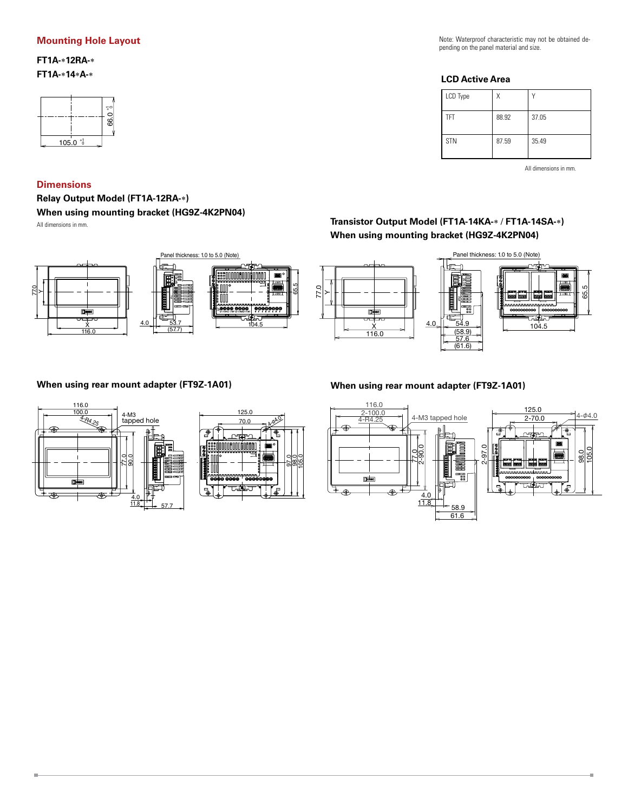#### **Mounting Hole Layout**

**FT1A-**\***12RA-**\* **FT1A-**\***14**\***A-**\*



#### **Dimensions**

**Relay Output Model (FT1A-12RA-**∗**) When using mounting bracket (HG9Z-4K2PN04)**

All dimensions in mm.

Ű.







Note: Waterproof characteristic may not be obtained depending on the panel material and size.

# **LCD Active Area**

| LCD Type   |       |       |
|------------|-------|-------|
| TFT        | 88.92 | 37.05 |
| <b>STN</b> | 87.59 | 35.49 |

All dimensions in mm.

g.

# **Transistor Output Model (FT1A-14KA-**∗ / **FT1A-14SA-**∗**) When using mounting bracket (HG9Z-4K2PN04)**



## **When using rear mount adapter (FT9Z-1A01) When using rear mount adapter (FT9Z-1A01)**